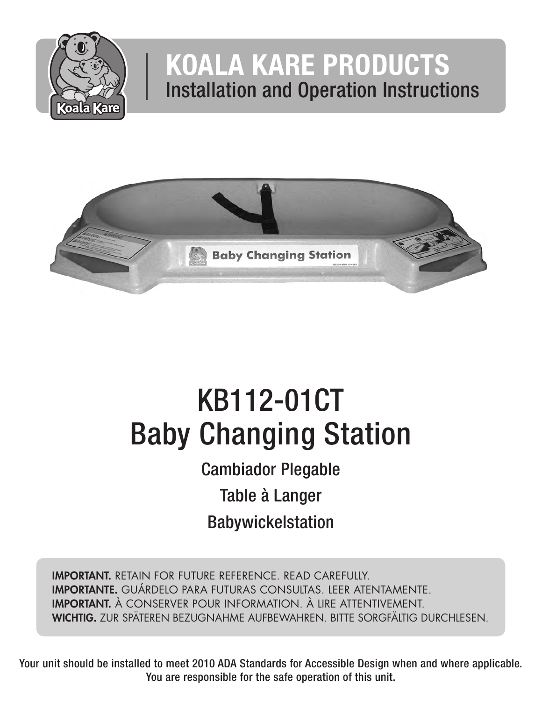

# KOALA KARE PRODUCTS Installation and Operation Instructions



# KB112-01CT Baby Changing Station

Cambiador Plegable Table à Langer Babywickelstation

IMPORTANT. RETAIN FOR FUTURE REFERENCE. READ CAREFULLY. IMPORTANTE. GUÁRDELO PARA FUTURAS CONSULTAS. LEER ATENTAMENTE. IMPORTANT. À CONSERVER POUR INFORMATION. À LIRE ATTENTIVEMENT. WICHTIG. ZUR SPÄTEREN BEZUGNAHME AUFBEWAHREN. BITTE SORGFÄLTIG DURCHLESEN.

Your unit should be installed to meet 2010 ADA Standards for Accessible Design when and where applicable. You are responsible for the safe operation of this unit.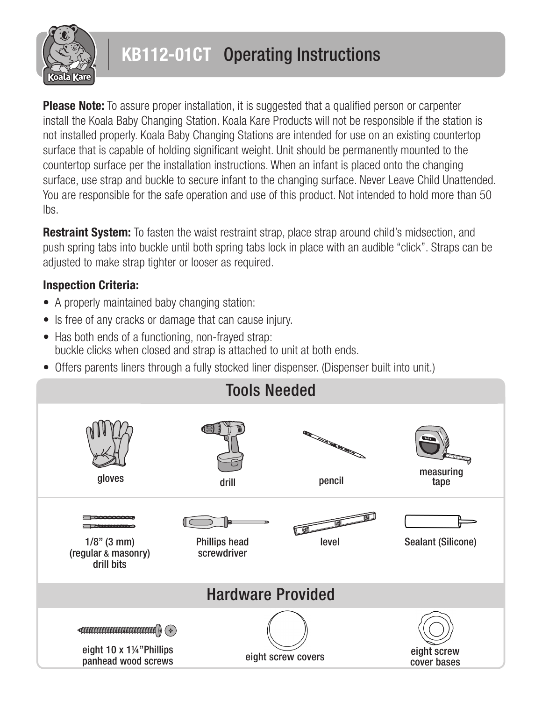

# KB112-01CT Operating Instructions

**Please Note:** To assure proper installation, it is suggested that a qualified person or carpenter install the Koala Baby Changing Station. Koala Kare Products will not be responsible if the station is not installed properly. Koala Baby Changing Stations are intended for use on an existing countertop surface that is capable of holding significant weight. Unit should be permanently mounted to the countertop surface per the installation instructions. When an infant is placed onto the changing surface, use strap and buckle to secure infant to the changing surface. Never Leave Child Unattended. You are responsible for the safe operation and use of this product. Not intended to hold more than 50 lbs.

**Restraint System:** To fasten the waist restraint strap, place strap around child's midsection, and push spring tabs into buckle until both spring tabs lock in place with an audible "click". Straps can be adjusted to make strap tighter or looser as required.

#### Inspection Criteria:

- A properly maintained baby changing station:
- Is free of any cracks or damage that can cause injury.
- Has both ends of a functioning, non-frayed strap: buckle clicks when closed and strap is attached to unit at both ends.
- Offers parents liners through a fully stocked liner dispenser. (Dispenser built into unit.)

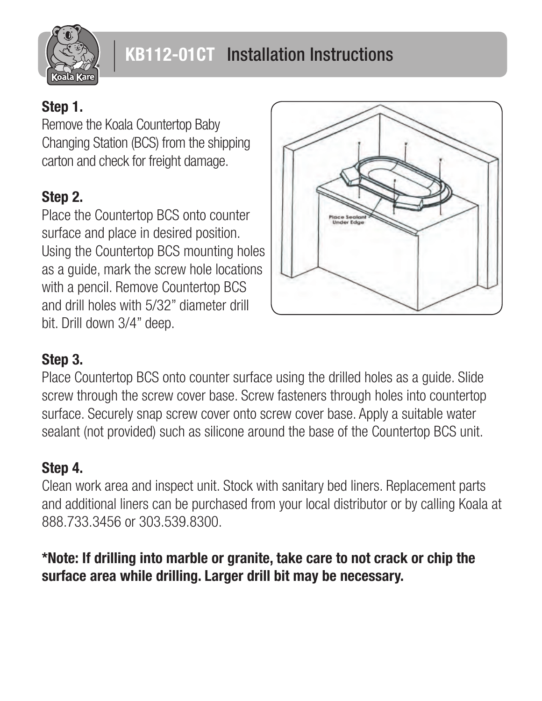

#### Step 1.

Remove the Koala Countertop Baby Changing Station (BCS) from the shipping carton and check for freight damage.

### Step 2.

Place the Countertop BCS onto counter surface and place in desired position. Using the Countertop BCS mounting holes as a guide, mark the screw hole locations with a pencil. Remove Countertop BCS and drill holes with 5/32" diameter drill bit. Drill down 3/4" deep.



#### Step 3.

Place Countertop BCS onto counter surface using the drilled holes as a guide. Slide screw through the screw cover base. Screw fasteners through holes into countertop surface. Securely snap screw cover onto screw cover base. Apply a suitable water sealant (not provided) such as silicone around the base of the Countertop BCS unit.

### Step 4.

Clean work area and inspect unit. Stock with sanitary bed liners. Replacement parts and additional liners can be purchased from your local distributor or by calling Koala at 888.733.3456 or 303.539.8300.

#### \*Note: If drilling into marble or granite, take care to not crack or chip the surface area while drilling. Larger drill bit may be necessary.